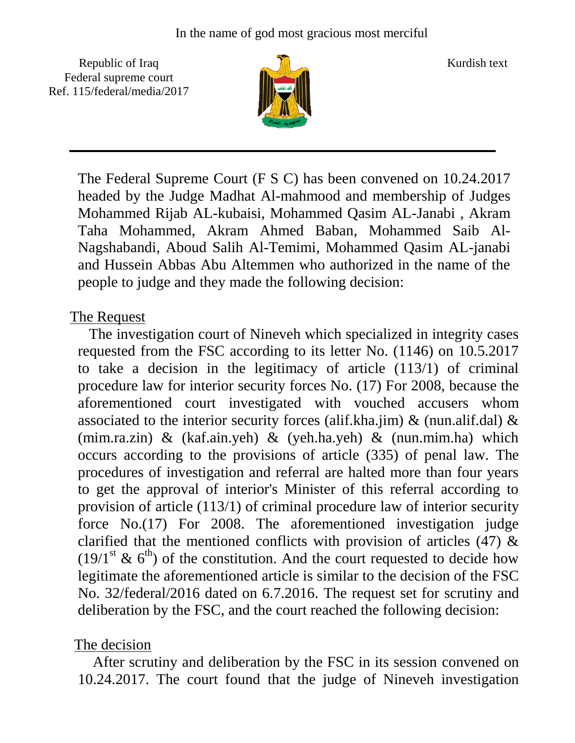Republic of Iraq  $\frac{1}{\|x\|}$  Kurdish text Federal supreme court Ref. 115/federal/media/2017



The Federal Supreme Court (F S C) has been convened on 10.24.2017 headed by the Judge Madhat Al-mahmood and membership of Judges Mohammed Rijab AL-kubaisi, Mohammed Qasim AL-Janabi , Akram Taha Mohammed, Akram Ahmed Baban, Mohammed Saib Al-Nagshabandi, Aboud Salih Al-Temimi, Mohammed Qasim AL-janabi and Hussein Abbas Abu Altemmen who authorized in the name of the people to judge and they made the following decision:

## The Request

 The investigation court of Nineveh which specialized in integrity cases requested from the FSC according to its letter No. (1146) on 10.5.2017 to take a decision in the legitimacy of article (113/1) of criminal procedure law for interior security forces No. (17) For 2008, because the aforementioned court investigated with vouched accusers whom associated to the interior security forces (alif.kha.jim)  $\&$  (nun.alif.dal)  $\&$ (mim.ra.zin) & (kaf.ain.yeh) & (yeh.ha.yeh) & (nun.mim.ha) which occurs according to the provisions of article (335) of penal law. The procedures of investigation and referral are halted more than four years to get the approval of interior's Minister of this referral according to provision of article (113/1) of criminal procedure law of interior security force No.(17) For 2008. The aforementioned investigation judge clarified that the mentioned conflicts with provision of articles (47) &  $(19/1<sup>st</sup> \& 6<sup>th</sup>)$  of the constitution. And the court requested to decide how legitimate the aforementioned article is similar to the decision of the FSC No. 32/federal/2016 dated on 6.7.2016. The request set for scrutiny and deliberation by the FSC, and the court reached the following decision:

## The decision

 After scrutiny and deliberation by the FSC in its session convened on 10.24.2017. The court found that the judge of Nineveh investigation